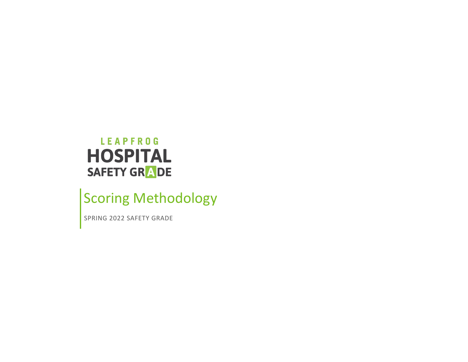## LEAPFROG **HOSPITAL** SAFETY GRADE

# Scoring Methodology

SPRING 2022 SAFETY GRADE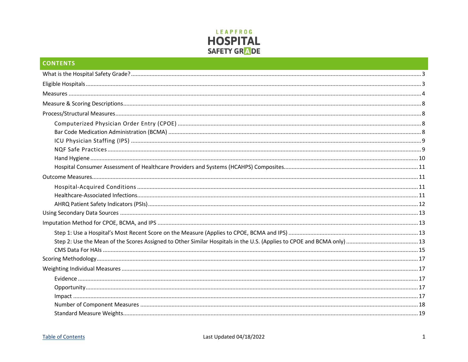

| <b>CONTENTS</b> |  |
|-----------------|--|
|                 |  |
|                 |  |
|                 |  |
|                 |  |
|                 |  |
|                 |  |
|                 |  |
|                 |  |
|                 |  |
|                 |  |
|                 |  |
|                 |  |
|                 |  |
|                 |  |
|                 |  |
|                 |  |
|                 |  |
|                 |  |
|                 |  |
|                 |  |
|                 |  |
|                 |  |
|                 |  |
|                 |  |
|                 |  |
|                 |  |
|                 |  |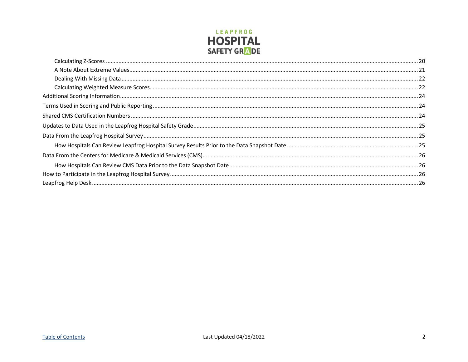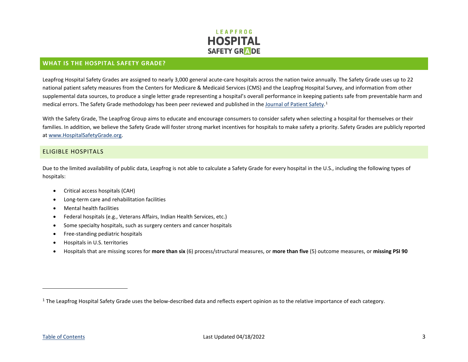<span id="page-3-2"></span>

#### <span id="page-3-0"></span>**WHAT IS THE HOSPITAL SAFETY GRADE?**

Leapfrog Hospital Safety Grades are assigned to nearly 3,000 general acute-care hospitals across the nation twice annually. The Safety Grade uses up to 22 national patient safety measures from the Centers for Medicare & Medicaid Services (CMS) and the Leapfrog Hospital Survey, and information from other supplemental data sources, to produce a single letter grade representing a hospital's overall performance in keeping patients safe from preventable harm and medical errors. The Safety Grade methodology has been peer reviewed and published in the [Journal of Patient Safety.](http://www.hospitalsafetyscore.org/media/file/JournalofPatientSafety_HospitalSafetyScore.pdf)<sup>[1](#page-3-2)</sup>

With the Safety Grade, The Leapfrog Group aims to educate and encourage consumers to consider safety when selecting a hospital for themselves or their families. In addition, we believe the Safety Grade will foster strong market incentives for hospitals to make safety a priority. Safety Grades are publicly reported a[t www.HospitalSafetyGrade.org.](http://www.hospitalsafetygrade.org/)

#### <span id="page-3-1"></span>ELIGIBLE HOSPITALS

Due to the limited availability of public data, Leapfrog is not able to calculate a Safety Grade for every hospital in the U.S., including the following types of hospitals:

- Critical access hospitals (CAH)
- Long-term care and rehabilitation facilities
- Mental health facilities
- Federal hospitals (e.g., Veterans Affairs, Indian Health Services, etc.)
- Some specialty hospitals, such as surgery centers and cancer hospitals
- Free-standing pediatric hospitals
- Hospitals in U.S. territories
- Hospitals that are missing scores for **more than six** (6) process/structural measures, or **more than five** (5) outcome measures, or **missing PSI 90**

 $1$  The Leapfrog Hospital Safety Grade uses the below-described data and reflects expert opinion as to the relative importance of each category.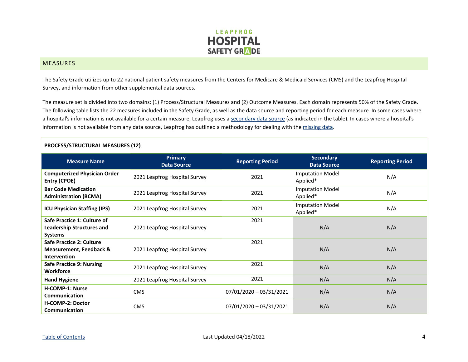

#### <span id="page-4-0"></span>**MEASURES**

The Safety Grade utilizes up to 22 national patient safety measures from the Centers for Medicare & Medicaid Services (CMS) and the Leapfrog Hospital Survey, and information from other supplemental data sources.

The measure set is divided into two domains: (1) Process/Structural Measures and (2) Outcome Measures. Each domain represents 50% of the Safety Grade. The following table lists the 22 measures included in the Safety Grade, as well as the data source and reporting period for each measure. In some cases where a hospital's information is not available for a certain measure, Leapfrog uses a [secondary data source](#page-13-0) (as indicated in the table). In cases where a hospital's information is not available from any data source, Leapfrog has outlined a methodology for dealing with the missing data.

| <b>PROCESS/STRUCTURAL MEASURES (12)</b>                                               |                                      |                         |                                        |                         |
|---------------------------------------------------------------------------------------|--------------------------------------|-------------------------|----------------------------------------|-------------------------|
| <b>Measure Name</b>                                                                   | <b>Primary</b><br><b>Data Source</b> | <b>Reporting Period</b> | <b>Secondary</b><br><b>Data Source</b> | <b>Reporting Period</b> |
| <b>Computerized Physician Order</b><br><b>Entry (CPOE)</b>                            | 2021 Leapfrog Hospital Survey        | 2021                    | <b>Imputation Model</b><br>Applied*    | N/A                     |
| <b>Bar Code Medication</b><br><b>Administration (BCMA)</b>                            | 2021 Leapfrog Hospital Survey        | 2021                    | <b>Imputation Model</b><br>Applied*    | N/A                     |
| <b>ICU Physician Staffing (IPS)</b>                                                   | 2021 Leapfrog Hospital Survey        | 2021                    | <b>Imputation Model</b><br>Applied*    | N/A                     |
| Safe Practice 1: Culture of<br><b>Leadership Structures and</b><br><b>Systems</b>     | 2021 Leapfrog Hospital Survey        | 2021                    | N/A                                    | N/A                     |
| Safe Practice 2: Culture<br><b>Measurement, Feedback &amp;</b><br><b>Intervention</b> | 2021 Leapfrog Hospital Survey        | 2021                    | N/A                                    | N/A                     |
| <b>Safe Practice 9: Nursing</b><br><b>Workforce</b>                                   | 2021 Leapfrog Hospital Survey        | 2021                    | N/A                                    | N/A                     |
| <b>Hand Hygiene</b>                                                                   | 2021 Leapfrog Hospital Survey        | 2021                    | N/A                                    | N/A                     |
| <b>H-COMP-1: Nurse</b><br>Communication                                               | <b>CMS</b>                           | 07/01/2020 - 03/31/2021 | N/A                                    | N/A                     |
| H-COMP-2: Doctor<br><b>Communication</b>                                              | <b>CMS</b>                           | 07/01/2020 - 03/31/2021 | N/A                                    | N/A                     |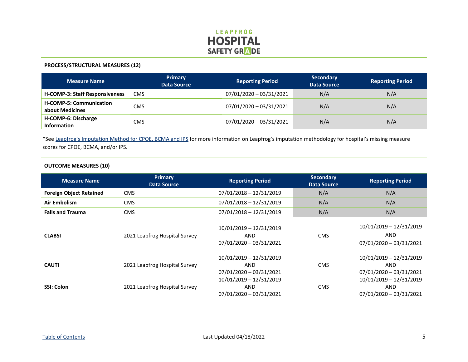

#### **PROCESS/STRUCTURAL MEASURES (12)**

| <b>Measure Name</b>                               | <b>Primary</b><br><b>Data Source</b> | <b>Reporting Period</b>   | <b>Secondary</b><br><b>Data Source</b> | <b>Reporting Period</b> |
|---------------------------------------------------|--------------------------------------|---------------------------|----------------------------------------|-------------------------|
| <b>H-COMP-3: Staff Responsiveness</b>             | <b>CMS</b>                           | 07/01/2020 - 03/31/2021   | N/A                                    | N/A                     |
| <b>H-COMP-5: Communication</b><br>about Medicines | <b>CMS</b>                           | 07/01/2020 - 03/31/2021   | N/A                                    | N/A                     |
| H-COMP-6: Discharge<br><b>Information</b>         | <b>CMS</b>                           | $07/01/2020 - 03/31/2021$ | N/A                                    | N/A                     |

\*See [Leapfrog's Imputation Method for CPOE, BCMA and IPS](#page-13-1) for more information on Leapfrog's imputation methodology for hospital's missing measure scores for CPOE, BCMA, and/or IPS.

| <b>OUTCOME MEASURES (10)</b>   |                                      |                                                             |                                        |                                                             |
|--------------------------------|--------------------------------------|-------------------------------------------------------------|----------------------------------------|-------------------------------------------------------------|
| <b>Measure Name</b>            | <b>Primary</b><br><b>Data Source</b> | <b>Reporting Period</b>                                     | <b>Secondary</b><br><b>Data Source</b> | <b>Reporting Period</b>                                     |
| <b>Foreign Object Retained</b> | <b>CMS</b>                           | $07/01/2018 - 12/31/2019$                                   | N/A                                    | N/A                                                         |
| Air Embolism                   | <b>CMS</b>                           | $07/01/2018 - 12/31/2019$                                   | N/A                                    | N/A                                                         |
| <b>Falls and Trauma</b>        | <b>CMS</b>                           | 07/01/2018 - 12/31/2019                                     | N/A                                    | N/A                                                         |
| <b>CLABSI</b>                  | 2021 Leapfrog Hospital Survey        | 10/01/2019 - 12/31/2019<br>AND<br>$07/01/2020 - 03/31/2021$ | <b>CMS</b>                             | 10/01/2019 - 12/31/2019<br>AND<br>$07/01/2020 - 03/31/2021$ |
| <b>CAUTI</b>                   | 2021 Leapfrog Hospital Survey        | 10/01/2019 - 12/31/2019<br>AND<br>$07/01/2020 - 03/31/2021$ | <b>CMS</b>                             | 10/01/2019 - 12/31/2019<br>AND<br>$07/01/2020 - 03/31/2021$ |
| <b>SSI: Colon</b>              | 2021 Leapfrog Hospital Survey        | 10/01/2019 - 12/31/2019<br>AND<br>$07/01/2020 - 03/31/2021$ | <b>CMS</b>                             | 10/01/2019 - 12/31/2019<br>AND<br>$07/01/2020 - 03/31/2021$ |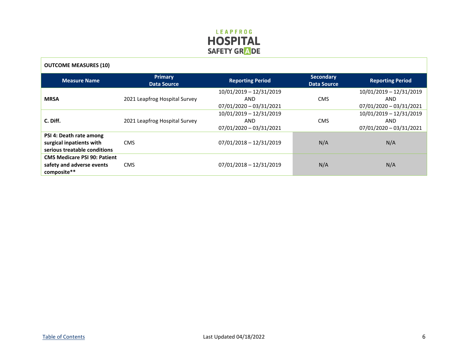

| <b>OUTCOME MEASURES (10)</b>                                                        |                                      |                                                                   |            |                                                           |
|-------------------------------------------------------------------------------------|--------------------------------------|-------------------------------------------------------------------|------------|-----------------------------------------------------------|
| <b>Measure Name</b>                                                                 | <b>Primary</b><br><b>Data Source</b> | <b>Secondary</b><br><b>Reporting Period</b><br><b>Data Source</b> |            | <b>Reporting Period</b>                                   |
| <b>MRSA</b>                                                                         | 2021 Leapfrog Hospital Survey        | 10/01/2019 - 12/31/2019<br>AND<br>07/01/2020 - 03/31/2021         | <b>CMS</b> | 10/01/2019 - 12/31/2019<br>AND<br>07/01/2020 - 03/31/2021 |
| C. Diff.                                                                            | 2021 Leapfrog Hospital Survey        | 10/01/2019 - 12/31/2019<br>AND<br>07/01/2020 - 03/31/2021         | <b>CMS</b> | 10/01/2019 - 12/31/2019<br>AND<br>07/01/2020 - 03/31/2021 |
| PSI 4: Death rate among<br>surgical inpatients with<br>serious treatable conditions | <b>CMS</b>                           | $07/01/2018 - 12/31/2019$<br>N/A<br>N/A                           |            |                                                           |
| <b>CMS Medicare PSI 90: Patient</b><br>safety and adverse events<br>composite**     | <b>CMS</b>                           | $07/01/2018 - 12/31/2019$                                         | N/A        | N/A                                                       |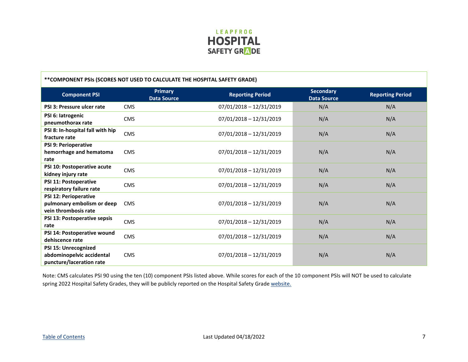

<span id="page-7-0"></span>

| **COMPONENT PSIs (SCORES NOT USED TO CALCULATE THE HOSPITAL SAFETY GRADE)          |                                      |                           |                                        |                         |
|------------------------------------------------------------------------------------|--------------------------------------|---------------------------|----------------------------------------|-------------------------|
| <b>Component PSI</b>                                                               | <b>Primary</b><br><b>Data Source</b> | <b>Reporting Period</b>   | <b>Secondary</b><br><b>Data Source</b> | <b>Reporting Period</b> |
| PSI 3: Pressure ulcer rate                                                         | <b>CMS</b>                           | 07/01/2018 - 12/31/2019   | N/A                                    | N/A                     |
| PSI 6: latrogenic<br>pneumothorax rate                                             | <b>CMS</b>                           | 07/01/2018 - 12/31/2019   | N/A                                    | N/A                     |
| PSI 8: In-hospital fall with hip<br>fracture rate                                  | <b>CMS</b>                           | 07/01/2018 - 12/31/2019   | N/A                                    | N/A                     |
| PSI 9: Perioperative<br>hemorrhage and hematoma<br>rate                            | <b>CMS</b>                           | 07/01/2018 - 12/31/2019   | N/A                                    | N/A                     |
| PSI 10: Postoperative acute<br>kidney injury rate                                  | <b>CMS</b>                           | 07/01/2018 - 12/31/2019   | N/A                                    | N/A                     |
| PSI 11: Postoperative<br>respiratory failure rate                                  | <b>CMS</b>                           | 07/01/2018 - 12/31/2019   | N/A                                    | N/A                     |
| <b>PSI 12: Perioperative</b><br>pulmonary embolism or deep<br>vein thrombosis rate | <b>CMS</b>                           | 07/01/2018 - 12/31/2019   | N/A                                    | N/A                     |
| PSI 13: Postoperative sepsis<br>rate                                               | <b>CMS</b>                           | 07/01/2018 - 12/31/2019   | N/A                                    | N/A                     |
| PSI 14: Postoperative wound<br>dehiscence rate                                     | <b>CMS</b>                           | 07/01/2018 - 12/31/2019   | N/A                                    | N/A                     |
| PSI 15: Unrecognized<br>abdominopelvic accidental<br>puncture/laceration rate      | <b>CMS</b>                           | $07/01/2018 - 12/31/2019$ | N/A                                    | N/A                     |

Note: CMS calculates PSI 90 using the ten (10) component PSIs listed above. While scores for each of the 10 component PSIs will NOT be used to calculate spring 2022 Hospital Safety Grades, they will be publicly reported on the Hospital Safety Grad[e website.](https://www.hospitalsafetygrade.org/)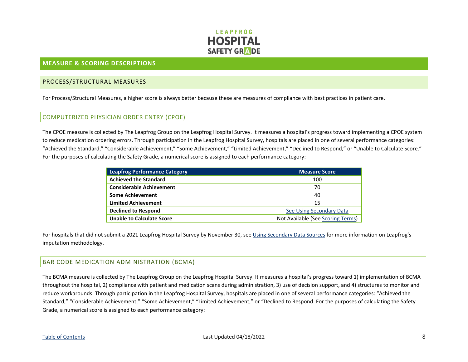

#### <span id="page-8-0"></span>**MEASURE & SCORING DESCRIPTIONS**

#### <span id="page-8-1"></span>PROCESS/STRUCTURAL MEASURES

For Process/Structural Measures, a higher score is always better because these are measures of compliance with best practices in patient care.

#### <span id="page-8-2"></span>COMPUTERIZED PHYSICIAN ORDER ENTRY (CPOE)

The CPOE measure is collected by The Leapfrog Group on the Leapfrog Hospital Survey. It measures a hospital's progress toward implementing a CPOE system to reduce medication ordering errors. Through participation in the Leapfrog Hospital Survey, hospitals are placed in one of several performance categories: "Achieved the Standard," "Considerable Achievement," "Some Achievement," "Limited Achievement," "Declined to Respond," or "Unable to Calculate Score." For the purposes of calculating the Safety Grade, a numerical score is assigned to each performance category:

| <b>Leapfrog Performance Category</b> | Measure Score                     |
|--------------------------------------|-----------------------------------|
| <b>Achieved the Standard</b>         | 100                               |
| <b>Considerable Achievement</b>      | 70                                |
| <b>Some Achievement</b>              | 40                                |
| <b>Limited Achievement</b>           | 15                                |
| <b>Declined to Respond</b>           | <b>See Using Secondary Data</b>   |
| <b>Unable to Calculate Score</b>     | Not Available (See Scoring Terms) |

For hospitals that did not submit a 2021 Leapfrog Hospital Survey by November 30, see [Using Secondary Data Sources](#page-12-1) for more information on Leapfrog's imputation methodology.

#### <span id="page-8-3"></span>BAR CODE MEDICATION ADMINISTRATION (BCMA)

The BCMA measure is collected by The Leapfrog Group on the Leapfrog Hospital Survey. It measures a hospital's progress toward 1) implementation of BCMA throughout the hospital, 2) compliance with patient and medication scans during administration, 3) use of decision support, and 4) structures to monitor and reduce workarounds. Through participation in the Leapfrog Hospital Survey, hospitals are placed in one of several performance categories: "Achieved the Standard," "Considerable Achievement," "Some Achievement," "Limited Achievement," or "Declined to Respond. For the purposes of calculating the Safety Grade, a numerical score is assigned to each performance category: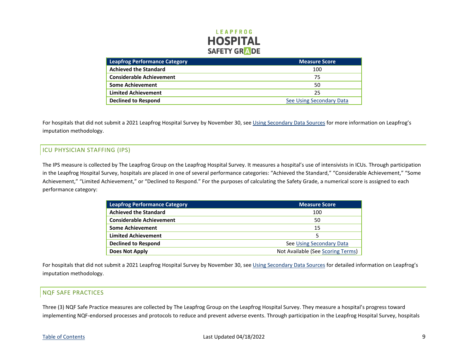

| <b>Leapfrog Performance Category</b> | <b>Measure Score</b>     |
|--------------------------------------|--------------------------|
| <b>Achieved the Standard</b>         | 100                      |
| <b>Considerable Achievement</b>      | 75                       |
| <b>Some Achievement</b>              | 50                       |
| <b>Limited Achievement</b>           | 25                       |
| <b>Declined to Respond</b>           | See Using Secondary Data |

For hospitals that did not submit a 2021 Leapfrog Hospital Survey by November 30, see [Using Secondary Data Sources](#page-12-1) for more information on Leapfrog's imputation methodology.

### <span id="page-9-0"></span>ICU PHYSICIAN STAFFING (IPS)

The IPS measure is collected by The Leapfrog Group on the Leapfrog Hospital Survey. It measures a hospital's use of intensivists in ICUs. Through participation in the Leapfrog Hospital Survey, hospitals are placed in one of several performance categories: "Achieved the Standard," "Considerable Achievement," "Some Achievement," "Limited Achievement," or "Declined to Respond." For the purposes of calculating the Safety Grade, a numerical score is assigned to each performance category:

| <b>Leapfrog Performance Category</b> | <b>Measure Score</b>              |
|--------------------------------------|-----------------------------------|
| <b>Achieved the Standard</b>         | 100                               |
| <b>Considerable Achievement</b>      | 50                                |
| <b>Some Achievement</b>              | 15                                |
| <b>Limited Achievement</b>           | 5                                 |
| <b>Declined to Respond</b>           | See Using Secondary Data          |
| <b>Does Not Apply</b>                | Not Available (See Scoring Terms) |

For hospitals that did not submit a 2021 Leapfrog Hospital Survey by November 30, see [Using Secondary Data Sources](#page-12-1) for detailed information on Leapfrog's imputation methodology.

#### <span id="page-9-1"></span>NQF SAFE PRACTICES

Three (3) NQF Safe Practice measures are collected by The Leapfrog Group on the Leapfrog Hospital Survey. They measure a hospital's progress toward implementing NQF-endorsed processes and protocols to reduce and prevent adverse events. Through participation in the Leapfrog Hospital Survey, hospitals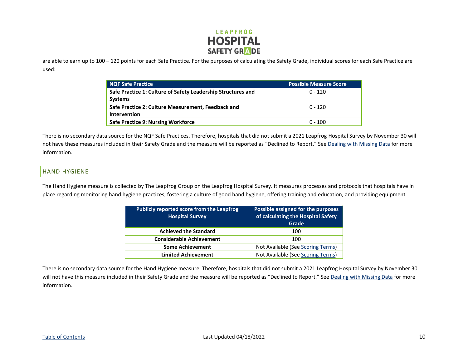

are able to earn up to 100 – 120 points for each Safe Practice. For the purposes of calculating the Safety Grade, individual scores for each Safe Practice are used:

| <b>NQF Safe Practice</b>                                                       | <b>Possible Measure Score</b> |
|--------------------------------------------------------------------------------|-------------------------------|
| Safe Practice 1: Culture of Safety Leadership Structures and<br><b>Systems</b> | $0 - 120$                     |
| Safe Practice 2: Culture Measurement, Feedback and<br><b>Intervention</b>      | $0 - 120$                     |
| Safe Practice 9: Nursing Workforce                                             | $0 - 100$                     |

There is no secondary data source for the NQF Safe Practices. Therefore, hospitals that did not submit a 2021 Leapfrog Hospital Survey by November 30 will not have these measures included in their Safety Grade and the measure will be reported as "Declined to Report." Se[e Dealing with Missing Data](#page-22-0) for more information.

#### <span id="page-10-0"></span>HAND HYGIENE

The Hand Hygiene measure is collected by The Leapfrog Group on the Leapfrog Hospital Survey. It measures processes and protocols that hospitals have in place regarding monitoring hand hygiene practices, fostering a culture of good hand hygiene, offering training and education, and providing equipment.

| <b>Publicly reported score from the Leapfrog</b><br><b>Hospital Survey</b> | Possible assigned for the purposes<br>of calculating the Hospital Safety<br>Grade |
|----------------------------------------------------------------------------|-----------------------------------------------------------------------------------|
| <b>Achieved the Standard</b>                                               | 100                                                                               |
| <b>Considerable Achievement</b>                                            | 100                                                                               |
| <b>Some Achievement</b>                                                    | Not Available (See Scoring Terms)                                                 |
| <b>Limited Achievement</b>                                                 | Not Available (See Scoring Terms)                                                 |

There is no secondary data source for the Hand Hygiene measure. Therefore, hospitals that did not submit a 2021 Leapfrog Hospital Survey by November 30 will not have this measure included in their Safety Grade and the measure will be reported as "Declined to Report." Se[e Dealing with Missing Data](#page-22-0) for more information.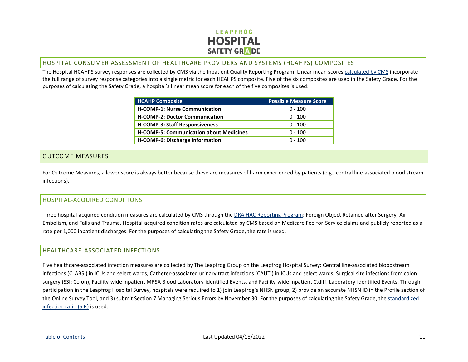

#### <span id="page-11-0"></span>HOSPITAL CONSUMER ASSESSMENT OF HEALTHCARE PROVIDERS AND SYSTEMS (HCAHPS) COMPOSITES

The Hospital HCAHPS survey responses are collected by CMS via the Inpatient Quality Reporting Program. Linear mean scores [calculated by CMS](https://hcahpsonline.org/globalassets/hcahps/star-ratings/tech-notes/october_2021_star-ratings_tech-notes_updated.pdf) incorporate the full range of survey response categories into a single metric for each HCAHPS composite. Five of the six composites are used in the Safety Grade. For the purposes of calculating the Safety Grade, a hospital's linear mean score for each of the five composites is used:

| <b>HCAHP Composite</b>                         | <b>Possible Measure Score</b> |
|------------------------------------------------|-------------------------------|
| <b>H-COMP-1: Nurse Communication</b>           | $0 - 100$                     |
| <b>H-COMP-2: Doctor Communication</b>          | $0 - 100$                     |
| <b>H-COMP-3: Staff Responsiveness</b>          | $0 - 100$                     |
| <b>H-COMP-5: Communication about Medicines</b> | $0 - 100$                     |
| H-COMP-6: Discharge Information                | $0 - 100$                     |

#### <span id="page-11-1"></span>OUTCOME MEASURES

For Outcome Measures, a lower score is always better because these are measures of harm experienced by patients (e.g., central line-associated blood stream infections).

#### <span id="page-11-2"></span>HOSPITAL-ACQUIRED CONDITIONS

Three hospital-acquired condition measures are calculated by CMS through the [DRA HAC Reporting Program:](https://www.cms.gov/Medicare/Medicare-Fee-for-Service-Payment/HospitalAcqCond/Downloads/FAQ-DRA-HAC-PSI.pdf) Foreign Object Retained after Surgery, Air Embolism, and Falls and Trauma. Hospital-acquired condition rates are calculated by CMS based on Medicare Fee-for-Service claims and publicly reported as a rate per 1,000 inpatient discharges. For the purposes of calculating the Safety Grade, the rate is used.

#### <span id="page-11-3"></span>HEALTHCARE-ASSOCIATED INFECTIONS

Five healthcare-associated infection measures are collected by The Leapfrog Group on the Leapfrog Hospital Survey: Central line-associated bloodstream infections (CLABSI) in ICUs and select wards, Catheter-associated urinary tract infections (CAUTI) in ICUs and select wards, Surgical site infections from colon surgery (SSI: Colon), Facility-wide inpatient MRSA Blood Laboratory-identified Events, and Facility-wide inpatient C.diff. Laboratory-identified Events. Through participation in the Leapfrog Hospital Survey, hospitals were required to 1) join Leapfrog's NHSN group, 2) provide an accurate NHSN ID in the Profile section of the Online Survey Tool, and 3) submit Section 7 Managing Serious Errors by November 30. For the purposes of calculating the Safety Grade, th[e standardized](http://www.cdc.gov/nhsn/acute-care-hospital/index.html)  [infection ratio \(SIR\)](http://www.cdc.gov/nhsn/acute-care-hospital/index.html) is used: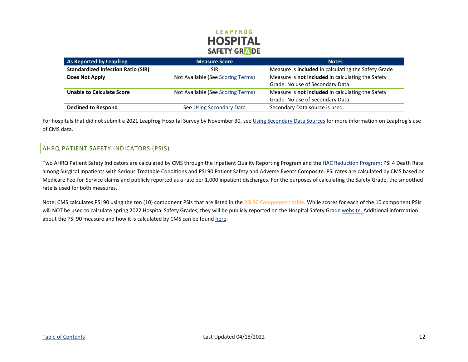## **LEAPFROG HOSPITAL SAFETY GRADE**

| As Reported by Leapfrog                   | <b>Measure Score</b>              | <b>Notes</b>                                        |  |
|-------------------------------------------|-----------------------------------|-----------------------------------------------------|--|
| <b>Standardized Infection Ratio (SIR)</b> | <b>SIR</b>                        | Measure is included in calculating the Safety Grade |  |
| Does Not Apply                            | Not Available (See Scoring Terms) | Measure is not included in calculating the Safety   |  |
|                                           |                                   | Grade. No use of Secondary Data.                    |  |
| <b>Unable to Calculate Score</b>          | Not Available (See Scoring Terms) | Measure is not included in calculating the Safety   |  |
|                                           |                                   | Grade. No use of Secondary Data.                    |  |
| <b>Declined to Respond</b>                | See Using Secondary Data          | Secondary Data source is used.                      |  |

For hospitals that did not submit a 2021 Leapfrog Hospital Survey by November 30, see [Using Secondary Data Sources](#page-12-1) for more information on Leapfrog's use of CMS data.

## <span id="page-12-0"></span>AHRQ PATIENT SAFETY INDICATORS (PSIS)

Two AHRQ Patient Safety Indicators are calculated by CMS through the Inpatient Quality Reporting Program and the [HAC Reduction Program:](https://qualitynet.cms.gov/inpatient/hac) PSI 4 Death Rate among Surgical Inpatients with Serious Treatable Conditions and PSI 90 Patient Safety and Adverse Events Composite. PSI rates are calculated by CMS based on Medicare Fee-for-Service claims and publicly reported as a rate per 1,000 inpatient discharges. For the purposes of calculating the Safety Grade, the smoothed rate is used for both measures.

<span id="page-12-1"></span>Note: CMS calculates PSI 90 using the ten (10) component PSIs that are listed in the PSI [90 Components table.](#page-7-0) While scores for each of the 10 component PSIs will NOT be used to calculate spring 2022 Hospital Safety Grades, they will be publicly reported on the Hospital Safety Grad[e website.](https://www.hospitalsafetygrade.org/) Additional information about the PSI 90 measure and how it is calculated by CMS can be foun[d here.](https://qualitynet.cms.gov/inpatient/measures/psi/resources)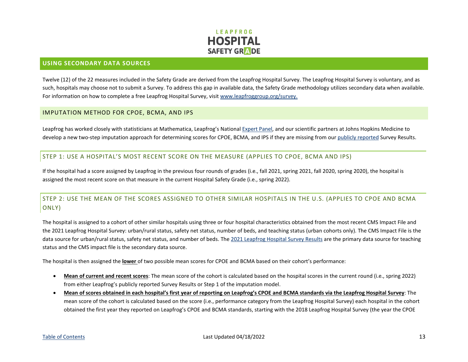

#### <span id="page-13-0"></span>**USING SECONDARY DATA SOURCES**

Twelve (12) of the 22 measures included in the Safety Grade are derived from the Leapfrog Hospital Survey. The Leapfrog Hospital Survey is voluntary, and as such, hospitals may choose not to submit a Survey. To address this gap in available data, the Safety Grade methodology utilizes secondary data when available. For information on how to complete a free Leapfrog Hospital Survey, visi[t www.leapfroggroup.org/survey.](http://www.leapfroggroup.org/survey)

#### <span id="page-13-1"></span>IMPUTATION METHOD FOR CPOE, BCMA, AND IPS

Leapfrog has worked closely with statisticians at Mathematica, Leapfrog's National [Expert Panel,](https://www.hospitalsafetygrade.org/your-hospitals-safety-grade/about-the-grade) and our scientific partners at Johns Hopkins Medicine to develop a new two-step imputation approach for determining scores for CPOE, BCMA, and IPS if they are missing from ou[r publicly reported](https://ratings.leapfroggroup.org/) Survey Results.

#### <span id="page-13-2"></span>STEP 1: USE A HOSPITAL'S MOST RECENT SCORE ON THE MEASURE (APPLIES TO CPOE, BCMA AND IPS)

If the hospital had a score assigned by Leapfrog in the previous four rounds of grades (i.e., fall 2021, spring 2021, fall 2020, spring 2020), the hospital is assigned the most recent score on that measure in the current Hospital Safety Grade (i.e., spring 2022).

## <span id="page-13-3"></span>STEP 2: USE THE MEAN OF THE SCORES ASSIGNED TO OTHER SIMILAR HOSPITALS IN THE U.S. (APPLIES TO CPOE AND BCMA ONLY)

The hospital is assigned to a cohort of other similar hospitals using three or four hospital characteristics obtained from the most recent CMS Impact File and the 2021 Leapfrog Hospital Survey: urban/rural status, safety net status, number of beds, and teaching status (urban cohorts only). The CMS Impact File is the data source for urban/rural status, safety net status, and number of beds. The [2021 Leapfrog Hospital Survey Results](https://ratings.leapfroggroup.org/) are the primary data source for teaching status and the CMS impact file is the secondary data source.

The hospital is then assigned the **lower** of two possible mean scores for CPOE and BCMA based on their cohort's performance:

- **Mean of current and recent scores**: The mean score of the cohort is calculated based on the hospital scores in the current round (i.e., spring 2022) from either Leapfrog's publicly reported Survey Results or Step 1 of the imputation model.
- **Mean of scores obtained in each hospital's first year of reporting on Leapfrog's CPOE and BCMA standards via the Leapfrog Hospital Survey**: The mean score of the cohort is calculated based on the score (i.e., performance category from the Leapfrog Hospital Survey) each hospital in the cohort obtained the first year they reported on Leapfrog's CPOE and BCMA standards, starting with the 2018 Leapfrog Hospital Survey (the year the CPOE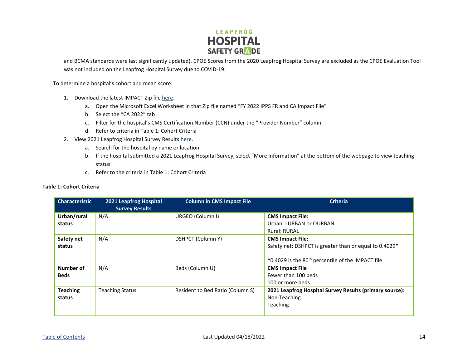

and BCMA standards were last significantly updated). CPOE Scores from the 2020 Leapfrog Hospital Survey are excluded as the CPOE Evaluation Tool was not included on the Leapfrog Hospital Survey due to COVID-19.

To determine a hospital's cohort and mean score:

- 1. Download the latest IMPACT Zip file [here.](https://www.cms.gov/files/zip/fy-2022-ipps-final-rule-and-ca-impact-file.zip)
	- a. Open the Microsoft Excel Worksheet in that Zip file named "FY 2022 IPPS FR and CA Impact File"
	- b. Select the "CA 2022" tab
	- c. Filter for the hospital's CMS Certification Number (CCN) under the "Provider Number" column
	- d. Refer to criteria in Table 1: Cohort Criteria
- 2. View 2021 Leapfrog Hospital Survey Result[s here.](https://ratings.leapfroggroup.org/)
	- a. Search for the hospital by name or location
	- b. If the hospital submitted a 2021 Leapfrog Hospital Survey, select "More Information" at the bottom of the webpage to view teaching status
	- c. Refer to the criteria in Table 1: Cohort Criteria

| <b>Characteristic</b> | 2021 Leapfrog Hospital<br><b>Survey Results</b> | <b>Column in CMS Impact File</b> | <b>Criteria</b>                                                    |
|-----------------------|-------------------------------------------------|----------------------------------|--------------------------------------------------------------------|
| Urban/rural           | N/A                                             | URGEO (Column I)                 | <b>CMS Impact File:</b>                                            |
| status                |                                                 |                                  | Urban: LURBAN or OURBAN                                            |
|                       |                                                 |                                  | Rural: RURAL                                                       |
| Safety net            | N/A                                             | DSHPCT (Column Y)                | <b>CMS Impact File:</b>                                            |
| status                |                                                 |                                  | Safety net: DSHPCT is greater than or equal to 0.4029 <sup>*</sup> |
|                       |                                                 |                                  | *0.4029 is the 80 <sup>th</sup> percentile of the IMPACT file      |
| Number of             | N/A                                             | Beds (Column U)                  | <b>CMS Impact File</b>                                             |
| <b>Beds</b>           |                                                 |                                  | Fewer than 100 beds                                                |
|                       |                                                 |                                  | 100 or more beds                                                   |
| <b>Teaching</b>       | <b>Teaching Status</b>                          | Resident to Bed Ratio (Column S) | 2021 Leapfrog Hospital Survey Results (primary source):            |
| status                |                                                 |                                  | Non-Teaching                                                       |
|                       |                                                 |                                  | Teaching                                                           |
|                       |                                                 |                                  |                                                                    |

#### **Table 1: Cohort Criteria**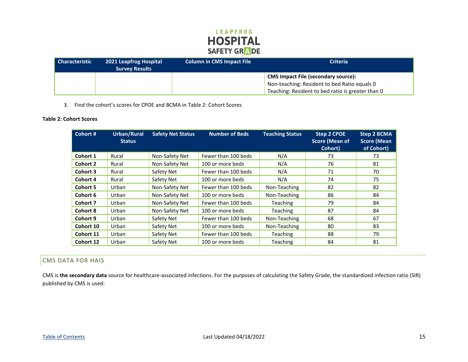## LEAPFROG **HOSPITAL** SAFETY GRADE

| Characteristic | <b>2021 Leapfrog Hospital</b><br><b>Survey Results</b> | <b>Column in CMS Impact File</b> | <b>Criteria</b>                                                                            |
|----------------|--------------------------------------------------------|----------------------------------|--------------------------------------------------------------------------------------------|
|                |                                                        |                                  | <b>CMS Impact File (secondary source):</b><br>Non-teaching: Resident to bed Ratio equals 0 |
|                |                                                        |                                  | Teaching: Resident to bed ratio is greater than 0                                          |

#### 3. Find the cohort's scores for CPOE and BCMA in Table 2: Cohort Scores

#### **Table 2: Cohort Scores**

| Cohort #  | Urban/Rural<br><b>Status</b> | <b>Safety Net Status</b> | <b>Number of Beds</b> | <b>Teaching Status</b> | Step 2 CPOE<br><b>Score (Mean of</b><br>Cohort) | <b>Step 2 BCMA</b><br><b>Score (Mean</b><br>of Cohort) |
|-----------|------------------------------|--------------------------|-----------------------|------------------------|-------------------------------------------------|--------------------------------------------------------|
| Cohort 1  | Rural                        | Non-Safety Net           | Fewer than 100 beds   | N/A                    | 73                                              | 73                                                     |
| Cohort 2  | Rural                        | Non-Safety Net           | 100 or more beds      | N/A                    | 76                                              | 81                                                     |
| Cohort 3  | Rural                        | Safety Net               | Fewer than 100 beds   | N/A                    | 71                                              | 70                                                     |
| Cohort 4  | Rural                        | Safety Net               | 100 or more beds      | N/A                    | 74                                              | 75                                                     |
| Cohort 5  | Urban                        | Non-Safety Net           | Fewer than 100 beds   | Non-Teaching           | 82                                              | 82                                                     |
| Cohort 6  | Urban                        | Non-Safety Net           | 100 or more beds      | Non-Teaching           | 86                                              | 84                                                     |
| Cohort 7  | Urban                        | Non-Safety Net           | Fewer than 100 beds   | <b>Teaching</b>        | 79                                              | 84                                                     |
| Cohort 8  | Urban                        | Non-Safety Net           | 100 or more beds      | <b>Teaching</b>        | 87                                              | 84                                                     |
| Cohort 9  | Urban                        | Safety Net               | Fewer than 100 beds   | Non-Teaching           | 68                                              | 67                                                     |
| Cohort 10 | Urban                        | Safety Net               | 100 or more beds      | Non-Teaching           | 80                                              | 83                                                     |
| Cohort 11 | Urban                        | Safety Net               | Fewer than 100 beds   | <b>Teaching</b>        | 88                                              | 79                                                     |
| Cohort 12 | Urban                        | Safety Net               | 100 or more beds      | Teaching               | 84                                              | 81                                                     |

#### <span id="page-15-0"></span>CMS DATA FOR HAIS

CMS is **the secondary data** source for healthcare-associated infections. For the purposes of calculating the Safety Grade, the standardized infection ratio (SIR) published by CMS is used: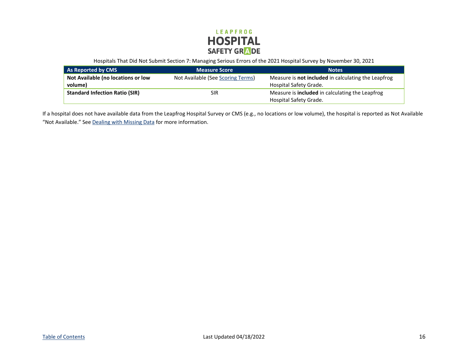

Hospitals That Did Not Submit Section 7: Managing Serious Errors of the 2021 Hospital Survey by November 30, 2021

| As Reported by CMS                    | Measure Score                     | <b>Notes</b>                                               |
|---------------------------------------|-----------------------------------|------------------------------------------------------------|
| Not Available (no locations or low    | Not Available (See Scoring Terms) | Measure is <b>not included</b> in calculating the Leapfrog |
| volume)                               |                                   | Hospital Safety Grade.                                     |
| <b>Standard Infection Ratio (SIR)</b> | SIR                               | Measure is <b>included</b> in calculating the Leapfrog     |
|                                       |                                   | Hospital Safety Grade.                                     |

If a hospital does not have available data from the Leapfrog Hospital Survey or CMS (e.g., no locations or low volume), the hospital is reported as Not Available "Not Available." Se[e Dealing with Missing Data](#page-22-0) for more information.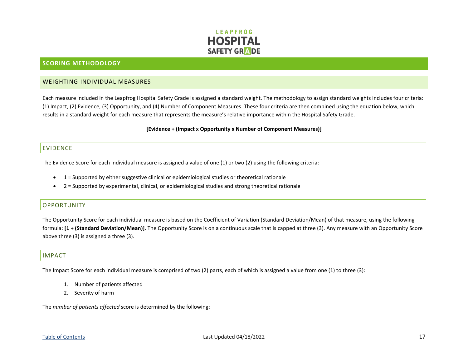

#### <span id="page-17-0"></span>**SCORING METHODOLOGY**

#### <span id="page-17-1"></span>WEIGHTING INDIVIDUAL MEASURES

Each measure included in the Leapfrog Hospital Safety Grade is assigned a standard weight. The methodology to assign standard weights includes four criteria: (1) Impact, (2) Evidence, (3) Opportunity, and (4) Number of Component Measures. These four criteria are then combined using the equation below, which results in a standard weight for each measure that represents the measure's relative importance within the Hospital Safety Grade.

#### **[Evidence + (Impact x Opportunity x Number of Component Measures)]**

#### <span id="page-17-2"></span>EVIDENCE

The Evidence Score for each individual measure is assigned a value of one (1) or two (2) using the following criteria:

- $\bullet$  1 = Supported by either suggestive clinical or epidemiological studies or theoretical rationale
- 2 = Supported by experimental, clinical, or epidemiological studies and strong theoretical rationale

#### <span id="page-17-3"></span>OPPORTUNITY

The Opportunity Score for each individual measure is based on the Coefficient of Variation (Standard Deviation/Mean) of that measure, using the following formula: **[1 + (Standard Deviation/Mean)]**. The Opportunity Score is on a continuous scale that is capped at three (3). Any measure with an Opportunity Score above three (3) is assigned a three (3).

#### <span id="page-17-4"></span>IMPACT

The Impact Score for each individual measure is comprised of two (2) parts, each of which is assigned a value from one (1) to three (3):

- 1. Number of patients affected
- 2. Severity of harm

The *number of patients affected* score is determined by the following: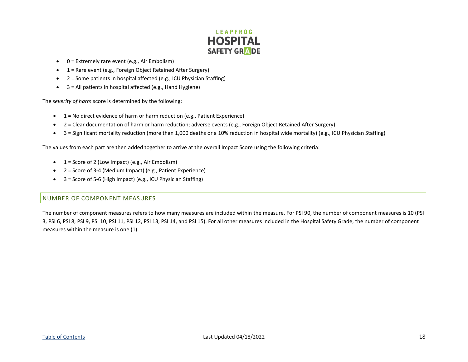## **LEAPFROG HOSPITAL SAFETY GRADE**

- $\bullet$  0 = Extremely rare event (e.g., Air Embolism)
- 1 = Rare event (e.g., Foreign Object Retained After Surgery)
- 2 = Some patients in hospital affected (e.g., ICU Physician Staffing)
- $\bullet$  3 = All patients in hospital affected (e.g., Hand Hygiene)

The *severity of harm* score is determined by the following:

- 1 = No direct evidence of harm or harm reduction (e.g., Patient Experience)
- 2 = Clear documentation of harm or harm reduction; adverse events (e.g., Foreign Object Retained After Surgery)
- 3 = Significant mortality reduction (more than 1,000 deaths or a 10% reduction in hospital wide mortality) (e.g., ICU Physician Staffing)

The values from each part are then added together to arrive at the overall Impact Score using the following criteria:

- $\bullet$  1 = Score of 2 (Low Impact) (e.g., Air Embolism)
- 2 = Score of 3-4 (Medium Impact) (e.g., Patient Experience)
- 3 = Score of 5-6 (High Impact) (e.g., ICU Physician Staffing)

#### <span id="page-18-0"></span>NUMBER OF COMPONENT MEASURES

The number of component measures refers to how many measures are included within the measure. For PSI 90, the number of component measures is 10 (PSI 3, PSI 6, PSI 8, PSI 9, PSI 10, PSI 11, PSI 12, PSI 13, PSI 14, and PSI 15). For all other measures included in the Hospital Safety Grade, the number of component measures within the measure is one (1).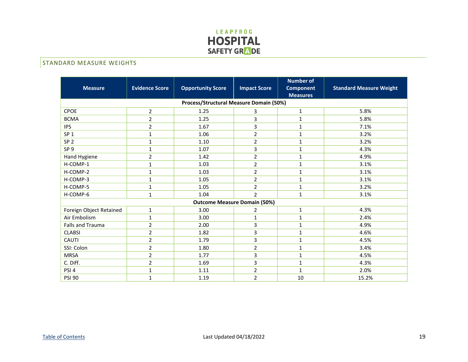

## <span id="page-19-0"></span>**STANDARD MEASURE WEIGHTS**

| <b>Measure</b>          | <b>Evidence Score</b> | <b>Opportunity Score</b>                | <b>Impact Score</b> | <b>Number of</b><br><b>Component</b><br><b>Measures</b> | <b>Standard Measure Weight</b> |
|-------------------------|-----------------------|-----------------------------------------|---------------------|---------------------------------------------------------|--------------------------------|
|                         |                       | Process/Structural Measure Domain (50%) |                     |                                                         |                                |
| <b>CPOE</b>             | $\overline{2}$        | 1.25                                    | 3                   | $\mathbf{1}$                                            | 5.8%                           |
| <b>BCMA</b>             | $\overline{2}$        | 1.25                                    | 3                   | 1                                                       | 5.8%                           |
| <b>IPS</b>              | $\overline{2}$        | 1.67                                    | 3                   | 1                                                       | 7.1%                           |
| SP <sub>1</sub>         | 1                     | 1.06                                    | $\overline{2}$      | 1                                                       | 3.2%                           |
| SP <sub>2</sub>         | $\mathbf{1}$          | 1.10                                    | $\overline{2}$      | 1                                                       | 3.2%                           |
| SP <sub>9</sub>         | 1                     | 1.07                                    | 3                   | $\mathbf{1}$                                            | 4.3%                           |
| Hand Hygiene            | $\overline{2}$        | 1.42                                    | $\overline{2}$      | $\mathbf{1}$                                            | 4.9%                           |
| H-COMP-1                | 1                     | 1.03                                    | $\overline{2}$      | $\mathbf{1}$                                            | 3.1%                           |
| H-COMP-2                | $\mathbf{1}$          | 1.03                                    | $\overline{2}$      | 1                                                       | 3.1%                           |
| H-COMP-3                | 1                     | 1.05                                    | $\overline{2}$      | 1                                                       | 3.1%                           |
| H-COMP-5                | $\mathbf{1}$          | 1.05                                    | $\overline{2}$      | $\mathbf{1}$                                            | 3.2%                           |
| H-COMP-6                | 1                     | 1.04                                    | $\overline{2}$      | $\mathbf{1}$                                            | 3.1%                           |
|                         |                       | <b>Outcome Measure Domain (50%)</b>     |                     |                                                         |                                |
| Foreign Object Retained | $\mathbf{1}$          | 3.00                                    | $\overline{2}$      | $\mathbf{1}$                                            | 4.3%                           |
| Air Embolism            | $\mathbf{1}$          | 3.00                                    | $\mathbf{1}$        | 1                                                       | 2.4%                           |
| Falls and Trauma        | $\overline{2}$        | 2.00                                    | 3                   | $\mathbf{1}$                                            | 4.9%                           |
| <b>CLABSI</b>           | $\overline{2}$        | 1.82                                    | 3                   | 1                                                       | 4.6%                           |
| <b>CAUTI</b>            | $\overline{2}$        | 1.79                                    | 3                   | $\mathbf{1}$                                            | 4.5%                           |
| SSI: Colon              | $\overline{2}$        | 1.80                                    | $\overline{2}$      | $\mathbf{1}$                                            | 3.4%                           |
| <b>MRSA</b>             | $\overline{2}$        | 1.77                                    | 3                   | 1                                                       | 4.5%                           |
| C. Diff.                | $\overline{2}$        | 1.69                                    | 3                   | $\mathbf{1}$                                            | 4.3%                           |
| PSI <sub>4</sub>        | 1                     | 1.11                                    | $\overline{2}$      | $\mathbf{1}$                                            | 2.0%                           |
| <b>PSI 90</b>           | $\mathbf 1$           | 1.19                                    | $\overline{2}$      | 10                                                      | 15.2%                          |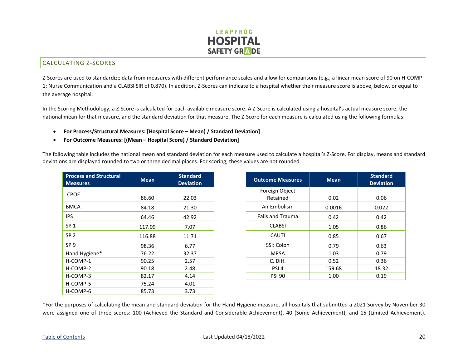

#### <span id="page-20-0"></span>CALCULATING Z-SCORES

Z-Scores are used to standardize data from measures with different performance scales and allow for comparisons (e.g., a linear mean score of 90 on H-COMP-1: Nurse Communication and a CLABSI SIR of 0.870). In addition, Z-Scores can indicate to a hospital whether their measure score is above, below, or equal to the average hospital.

In the Scoring Methodology, a Z-Score is calculated for each available measure score. A Z-Score is calculated using a hospital's actual measure score, the national mean for that measure, and the standard deviation for that measure. The Z-Score for each measure is calculated using the following formulas:

- **For Process/Structural Measures: [Hospital Score Mean) / Standard Deviation]**
- **For Outcome Measures: [(Mean Hospital Score) / Standard Deviation]**

The following table includes the national mean and standard deviation for each measure used to calculate a hospital's Z-Score. For display, means and standard deviations are displayed rounded to two or three decimal places. For scoring, these values are not rounded.

| <b>Process and Structural</b><br><b>Measures</b> | <b>Mean</b> | <b>Standard</b><br><b>Deviation</b> | <b>Outcome Measures</b> | <b>Mean</b> | Standa<br><b>Deviation</b> |
|--------------------------------------------------|-------------|-------------------------------------|-------------------------|-------------|----------------------------|
| <b>CPOE</b>                                      |             |                                     | Foreign Object          |             |                            |
|                                                  | 86.60       | 22.03                               | Retained                | 0.02        | 0.06                       |
| <b>BMCA</b>                                      | 84.18       | 21.30                               | Air Embolism            | 0.0016      | 0.022                      |
| <b>IPS</b>                                       | 64.46       | 42.92                               | <b>Falls and Trauma</b> | 0.42        | 0.42                       |
| SP <sub>1</sub>                                  | 117.09      | 7.07                                | <b>CLABSI</b>           | 1.05        | 0.86                       |
| SP <sub>2</sub>                                  | 116.88      | 11.71                               | <b>CAUTI</b>            | 0.85        | 0.67                       |
| SP <sub>9</sub>                                  | 98.36       | 6.77                                | SSI: Colon              | 0.79        | 0.63                       |
| Hand Hygiene*                                    | 76.22       | 32.37                               | <b>MRSA</b>             | 1.03        | 0.79                       |
| H-COMP-1                                         | 90.25       | 2.57                                | C. Diff.                | 0.52        | 0.36                       |
| H-COMP-2                                         | 90.18       | 2.48                                | PSI <sub>4</sub>        | 159.68      | 18.32                      |
| H-COMP-3                                         | 82.17       | 4.14                                | <b>PSI 90</b>           | 1.00        | 0.19                       |
| H-COMP-5                                         | 75.24       | 4.01                                |                         |             |                            |
| H-COMP-6                                         | 85.73       | 3.73                                |                         |             |                            |

| <b>Standard</b><br><b>Deviation</b> | <b>Outcome Measures</b> | <b>Mean</b> | <b>Standard</b><br><b>Deviation</b> |
|-------------------------------------|-------------------------|-------------|-------------------------------------|
|                                     | Foreign Object          |             |                                     |
| 22.03                               | Retained                | 0.02        | 0.06                                |
| 21.30                               | Air Embolism            | 0.0016      | 0.022                               |
| 42.92                               | <b>Falls and Trauma</b> | 0.42        | 0.42                                |
| 7.07                                | <b>CLABSI</b>           | 1.05        | 0.86                                |
| 11.71                               | <b>CAUTI</b>            | 0.85        | 0.67                                |
| 6.77                                | SSI: Colon              | 0.79        | 0.63                                |
| 32.37                               | <b>MRSA</b>             | 1.03        | 0.79                                |
| 2.57                                | C. Diff.                | 0.52        | 0.36                                |
| 2.48                                | PSI <sub>4</sub>        | 159.68      | 18.32                               |
| 4.14                                | <b>PSI 90</b>           | 1.00        | 0.19                                |

\*For the purposes of calculating the mean and standard deviation for the Hand Hygiene measure, all hospitals that submitted a 2021 Survey by November 30 were assigned one of three scores: 100 (Achieved the Standard and Considerable Achievement), 40 (Some Achievement), and 15 (Limited Achievement).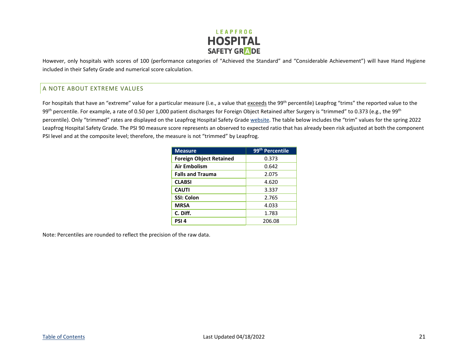

However, only hospitals with scores of 100 (performance categories of "Achieved the Standard" and "Considerable Achievement") will have Hand Hygiene included in their Safety Grade and numerical score calculation.

#### <span id="page-21-0"></span>A NOTE ABOUT EXTREME VALUES

For hospitals that have an "extreme" value for a particular measure (i.e., a value that exceeds the 99<sup>th</sup> percentile) Leapfrog "trims" the reported value to the 99<sup>th</sup> percentile. For example, a rate of 0.50 per 1,000 patient discharges for Foreign Object Retained after Surgery is "trimmed" to 0.373 (e.g., the 99<sup>th</sup> percentile). Only "trimmed" rates are displayed on the Leapfrog Hospital Safety Grade [website.](https://www.hospitalsafetygrade.org/) The table below includes the "trim" values for the spring 2022 Leapfrog Hospital Safety Grade. The PSI 90 measure score represents an observed to expected ratio that has already been risk adjusted at both the component PSI level and at the composite level; therefore, the measure is not "trimmed" by Leapfrog.

| <b>Measure</b>                 | 99 <sup>th</sup> Percentile |
|--------------------------------|-----------------------------|
| <b>Foreign Object Retained</b> | 0.373                       |
| Air Embolism                   | 0.642                       |
| <b>Falls and Trauma</b>        | 2.075                       |
| <b>CLABSI</b>                  | 4.620                       |
| <b>CAUTI</b>                   | 3.337                       |
| <b>SSI: Colon</b>              | 2.765                       |
| <b>MRSA</b>                    | 4.033                       |
| C. Diff.                       | 1.783                       |
| PSI <sub>4</sub>               | 206.08                      |

Note: Percentiles are rounded to reflect the precision of the raw data.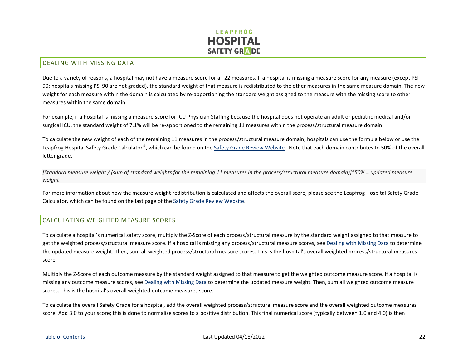

#### <span id="page-22-0"></span>DEALING WITH MISSING DATA

Due to a variety of reasons, a hospital may not have a measure score for all 22 measures. If a hospital is missing a measure score for any measure (except PSI 90; hospitals missing PSI 90 are not graded), the standard weight of that measure is redistributed to the other measures in the same measure domain. The new weight for each measure within the domain is calculated by re-apportioning the standard weight assigned to the measure with the missing score to other measures within the same domain.

For example, if a hospital is missing a measure score for ICU Physician Staffing because the hospital does not operate an adult or pediatric medical and/or surgical ICU, the standard weight of 7.1% will be re-apportioned to the remaining 11 measures within the process/structural measure domain.

To calculate the new weight of each of the remaining 11 measures in the process/structural measure domain, hospitals can use the formula below or use the Leapfrog Hospital Safety Grade Calculator<sup>©</sup>, which can be found on the [Safety Grade Review Website.](https://www.hospitalsafetygrade.org/for-hospitals/data-review/review-login) Note that each domain contributes to 50% of the overall letter grade.

*[Standard measure weight / (sum of standard weights for the remaining 11 measures in the process/structural measure domain)]\*50% = updated measure weight* 

For more information about how the measure weight redistribution is calculated and affects the overall score, please see the Leapfrog Hospital Safety Grade Calculator, which can be found on the last page of th[e Safety Grade Review Website.](https://www.hospitalsafetygrade.org/for-hospitals/data-review/review-login)

#### <span id="page-22-1"></span>CALCULATING WEIGHTED MEASURE SCORES

To calculate a hospital's numerical safety score, multiply the Z-Score of each process/structural measure by the standard weight assigned to that measure to get the weighted process/structural measure score. If a hospital is missing any process/structural measure scores, se[e Dealing with Missing Data](#page-22-0) to determine the updated measure weight. Then, sum all weighted process/structural measure scores. This is the hospital's overall weighted process/structural measures score.

Multiply the Z-Score of each outcome measure by the standard weight assigned to that measure to get the weighted outcome measure score. If a hospital is missing any outcome measure scores, se[e Dealing with Missing Data](#page-22-0) to determine the updated measure weight. Then, sum all weighted outcome measure scores. This is the hospital's overall weighted outcome measures score.

To calculate the overall Safety Grade for a hospital, add the overall weighted process/structural measure score and the overall weighted outcome measures score. Add 3.0 to your score; this is done to normalize scores to a positive distribution. This final numerical score (typically between 1.0 and 4.0) is then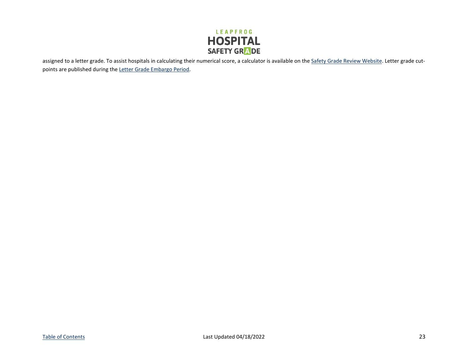

assigned to a letter grade. To assist hospitals in calculating their numerical score, a calculator is available on th[e Safety Grade Review Website.](https://www.hospitalsafetygrade.org/for-hospitals/data-review/review-login) Letter grade cutpoints are published during th[e Letter Grade Embargo Period.](https://www.hospitalsafetygrade.org/for-hospitals/updates-and-timelines-for-hospitals)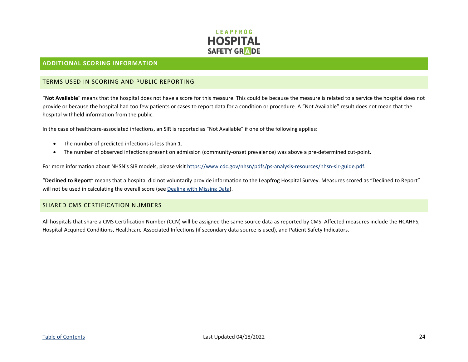

#### <span id="page-24-0"></span>**ADDITIONAL SCORING INFORMATION**

#### <span id="page-24-1"></span>TERMS USED IN SCORING AND PUBLIC REPORTING

"**Not Available**" means that the hospital does not have a score for this measure. This could be because the measure is related to a service the hospital does not provide or because the hospital had too few patients or cases to report data for a condition or procedure. A "Not Available" result does not mean that the hospital withheld information from the public.

In the case of healthcare-associated infections, an SIR is reported as "Not Available" if one of the following applies:

- The number of predicted infections is less than 1.
- The number of observed infections present on admission (community-onset prevalence) was above a pre-determined cut-point.

For more information about NHSN's SIR models, please visit [https://www.cdc.gov/nhsn/pdfs/ps-analysis-resources/nhsn-sir-guide.pdf.](https://www.cdc.gov/nhsn/pdfs/ps-analysis-resources/nhsn-sir-guide.pdf)

"**Declined to Report**" means that a hospital did not voluntarily provide information to the Leapfrog Hospital Survey. Measures scored as "Declined to Report" will not be used in calculating the overall score (see [Dealing with Missing Data\)](#page-22-0).

#### <span id="page-24-2"></span>SHARED CMS CERTIFICATION NUMBERS

All hospitals that share a CMS Certification Number (CCN) will be assigned the same source data as reported by CMS. Affected measures include the HCAHPS, Hospital-Acquired Conditions, Healthcare-Associated Infections (if secondary data source is used), and Patient Safety Indicators.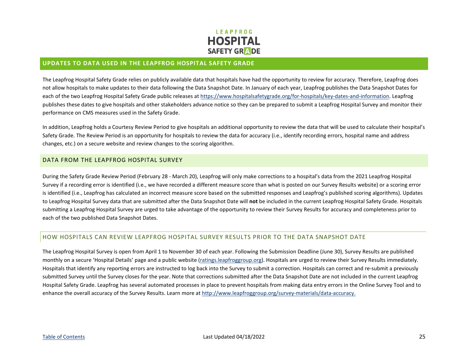

#### <span id="page-25-0"></span>**UPDATES TO DATA USED IN THE LEAPFROG HOSPITAL SAFETY GRADE**

The Leapfrog Hospital Safety Grade relies on publicly available data that hospitals have had the opportunity to review for accuracy. Therefore, Leapfrog does not allow hospitals to make updates to their data following the Data Snapshot Date. In January of each year, Leapfrog publishes the Data Snapshot Dates for each of the two Leapfrog Hospital Safety Grade public releases at [https://www.hospitalsafetygrade.org/for-hospitals/key-dates-and-information.](https://www.hospitalsafetygrade.org/for-hospitals/key-dates-and-information) Leapfrog publishes these dates to give hospitals and other stakeholders advance notice so they can be prepared to submit a Leapfrog Hospital Survey and monitor their performance on CMS measures used in the Safety Grade.

In addition, Leapfrog holds a Courtesy Review Period to give hospitals an additional opportunity to review the data that will be used to calculate their hospital's Safety Grade. The Review Period is an opportunity for hospitals to review the data for accuracy (i.e., identify recording errors, hospital name and address changes, etc.) on a secure website and review changes to the scoring algorithm.

#### <span id="page-25-1"></span>DATA FROM THE LEAPFROG HOSPITAL SURVEY

During the Safety Grade Review Period (February 28 - March 20), Leapfrog will only make corrections to a hospital's data from the 2021 Leapfrog Hospital Survey if a recording error is identified (i.e., we have recorded a different measure score than what is posted on our Survey Results website) or a scoring error is identified (i.e., Leapfrog has calculated an incorrect measure score based on the submitted responses and Leapfrog's published scoring algorithms). Updates to Leapfrog Hospital Survey data that are submitted after the Data Snapshot Date will **not** be included in the current Leapfrog Hospital Safety Grade. Hospitals submitting a Leapfrog Hospital Survey are urged to take advantage of the opportunity to review their Survey Results for accuracy and completeness prior to each of the two published Data Snapshot Dates.

#### <span id="page-25-2"></span>HOW HOSPITALS CAN REVIEW LEAPFROG HOSPITAL SURVEY RESULTS PRIOR TO THE DATA SNAPSHOT DATE

The Leapfrog Hospital Survey is open from April 1 to November 30 of each year. Following the Submission Deadline (June 30), Survey Results are published monthly on a secure 'Hospital Details' page and a public website [\(ratings.leapfroggroup.org\)](https://ratings.leapfroggroup.org/). Hospitals are urged to review their Survey Results immediately. Hospitals that identify any reporting errors are instructed to log back into the Survey to submit a correction. Hospitals can correct and re-submit a previously submitted Survey until the Survey closes for the year. Note that corrections submitted after the Data Snapshot Date are not included in the current Leapfrog Hospital Safety Grade. Leapfrog has several automated processes in place to prevent hospitals from making data entry errors in the Online Survey Tool and to enhance the overall accuracy of the Survey Results. Learn more at [http://www.leapfroggroup.org/survey-materials/data-accuracy.](http://www.leapfroggroup.org/survey-materials/data-accuracy)